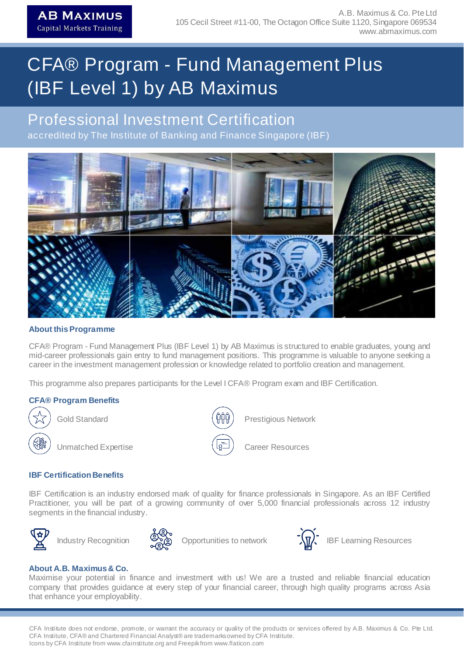# CFA® Program - Fund Management Plus (IBF Level 1) by AB Maximus

## Professional Investment Certification

accredited by The Institute of Banking and Finance Singapore (IBF)



### **About thisProgramme**

CFA® Program - Fund Management Plus (IBF Level 1) by AB Maximus is structured to enable graduates, young and mid-career professionals gain entry to fund management positions. This programme is valuable to anyone seeking a career in the investment management profession or knowledge related to portfolio creation and management.

This programme also prepares participants for the Level I CFA® Program exam and IBF Certification.

### **CFA® Program Benefits**



Gold Standard



Prestigious Network



Career Resources

### **IBF** Certification Benefits

IBF Certification is an industry endorsed mark of quality for finance professionals in Singapore. As an IBF Certified Practitioner, you will be part of a growing community of over 5,000 financial professionals across 12 industry segments in the financial industry.





Opportunities to network



Industry Recognition  $\mathbb{S}_{\mathbb{Z}}^{\mathbb{C}}$  Opportunities to network  $\mathbb{S}_{\mathbb{Z}}^{\mathbb{C}}$  IBF Learning Resources

### **About A.B. Maximus& Co.**

Maximise your potential in finance and investment with us! We are a trusted and reliable financial education company that provides guidance at every step of your financial career, through high quality programs across Asia that enhance your employability.

CFA Institute does not endorse, promote, or warrant the accuracy or quality of the products or services offered by A.B. Maximus & Co. Pte Ltd. CFA Institute, CFA® and Chartered Financial Analyst® are trademarksowned by CFA Institute. Icons by CFA Institute from www.cfainstitute.org and Freepikfrom www.flaticon.com